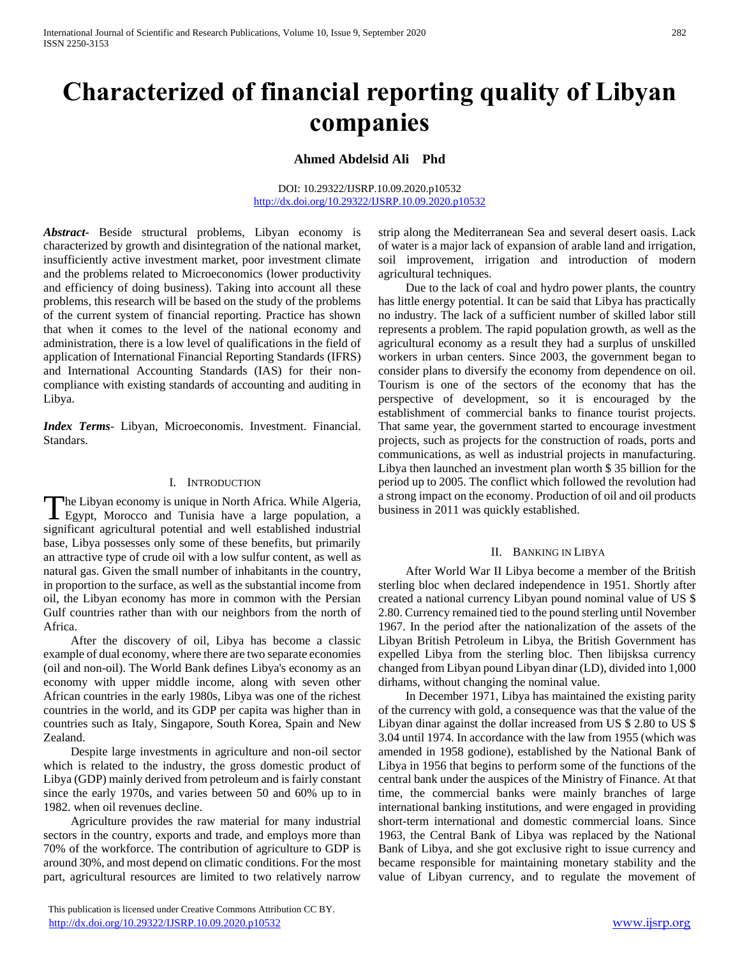# **Characterized of financial reporting quality of Libyan companies**

**Ahmed Abdelsid Ali Phd** 

DOI: 10.29322/IJSRP.10.09.2020.p10532 <http://dx.doi.org/10.29322/IJSRP.10.09.2020.p10532>

*Abstract***-** Beside structural problems, Libyan economy is characterized by growth and disintegration of the national market, insufficiently active investment market, poor investment climate and the problems related to Microeconomics (lower productivity and efficiency of doing business). Taking into account all these problems, this research will be based on the study of the problems of the current system of financial reporting. Practice has shown that when it comes to the level of the national economy and administration, there is a low level of qualifications in the field of application of International Financial Reporting Standards (IFRS) and International Accounting Standards (IAS) for their noncompliance with existing standards of accounting and auditing in Libya.

*Index Terms*- Libyan, Microeconomis. Investment. Financial. Standars.

#### I. INTRODUCTION

he Libyan economy is unique in North Africa. While Algeria, The Libyan economy is unique in North Africa. While Algeria,<br>
Egypt, Morocco and Tunisia have a large population, a significant agricultural potential and well established industrial base, Libya possesses only some of these benefits, but primarily an attractive type of crude oil with a low sulfur content, as well as natural gas. Given the small number of inhabitants in the country, in proportion to the surface, as well as the substantial income from oil, the Libyan economy has more in common with the Persian Gulf countries rather than with our neighbors from the north of Africa.

 After the discovery of oil, Libya has become a classic example of dual economy, where there are two separate economies (oil and non-oil). The World Bank defines Libya's economy as an economy with upper middle income, along with seven other African countries in the early 1980s, Libya was one of the richest countries in the world, and its GDP per capita was higher than in countries such as Italy, Singapore, South Korea, Spain and New Zealand.

 Despite large investments in agriculture and non-oil sector which is related to the industry, the gross domestic product of Libya (GDP) mainly derived from petroleum and is fairly constant since the early 1970s, and varies between 50 and 60% up to in 1982. when oil revenues decline.

 Agriculture provides the raw material for many industrial sectors in the country, exports and trade, and employs more than 70% of the workforce. The contribution of agriculture to GDP is around 30%, and most depend on climatic conditions. For the most part, agricultural resources are limited to two relatively narrow

 This publication is licensed under Creative Commons Attribution CC BY. <http://dx.doi.org/10.29322/IJSRP.10.09.2020.p10532> [www.ijsrp.org](http://ijsrp.org/)

strip along the Mediterranean Sea and several desert oasis. Lack of water is a major lack of expansion of arable land and irrigation, soil improvement, irrigation and introduction of modern agricultural techniques.

 Due to the lack of coal and hydro power plants, the country has little energy potential. It can be said that Libya has practically no industry. The lack of a sufficient number of skilled labor still represents a problem. The rapid population growth, as well as the agricultural economy as a result they had a surplus of unskilled workers in urban centers. Since 2003, the government began to consider plans to diversify the economy from dependence on oil. Tourism is one of the sectors of the economy that has the perspective of development, so it is encouraged by the establishment of commercial banks to finance tourist projects. That same year, the government started to encourage investment projects, such as projects for the construction of roads, ports and communications, as well as industrial projects in manufacturing. Libya then launched an investment plan worth \$ 35 billion for the period up to 2005. The conflict which followed the revolution had a strong impact on the economy. Production of oil and oil products business in 2011 was quickly established.

#### II. BANKING IN LIBYA

 After World War II Libya become a member of the British sterling bloc when declared independence in 1951. Shortly after created a national currency Libyan pound nominal value of US \$ 2.80. Currency remained tied to the pound sterling until November 1967. In the period after the nationalization of the assets of the Libyan British Petroleum in Libya, the British Government has expelled Libya from the sterling bloc. Then libijsksa currency changed from Libyan pound Libyan dinar (LD), divided into 1,000 dirhams, without changing the nominal value.

 In December 1971, Libya has maintained the existing parity of the currency with gold, a consequence was that the value of the Libyan dinar against the dollar increased from US \$ 2.80 to US \$ 3.04 until 1974. In accordance with the law from 1955 (which was amended in 1958 godione), established by the National Bank of Libya in 1956 that begins to perform some of the functions of the central bank under the auspices of the Ministry of Finance. At that time, the commercial banks were mainly branches of large international banking institutions, and were engaged in providing short-term international and domestic commercial loans. Since 1963, the Central Bank of Libya was replaced by the National Bank of Libya, and she got exclusive right to issue currency and became responsible for maintaining monetary stability and the value of Libyan currency, and to regulate the movement of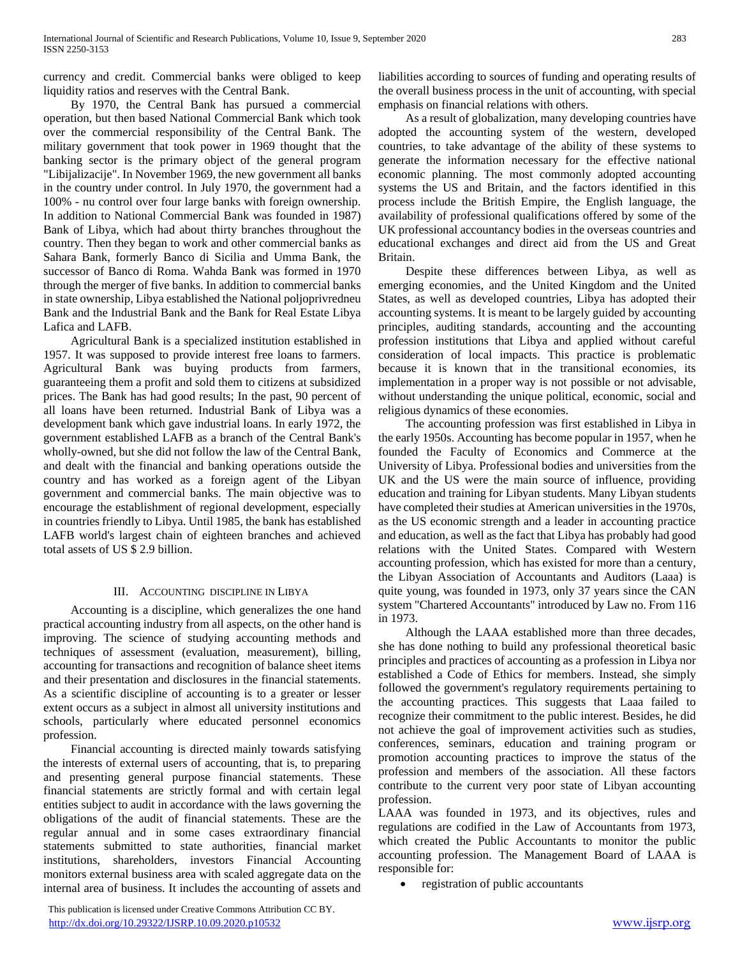currency and credit. Commercial banks were obliged to keep liquidity ratios and reserves with the Central Bank.

 By 1970, the Central Bank has pursued a commercial operation, but then based National Commercial Bank which took over the commercial responsibility of the Central Bank. The military government that took power in 1969 thought that the banking sector is the primary object of the general program "Libijalizacije". In November 1969, the new government all banks in the country under control. In July 1970, the government had a 100% - nu control over four large banks with foreign ownership. In addition to National Commercial Bank was founded in 1987) Bank of Libya, which had about thirty branches throughout the country. Then they began to work and other commercial banks as Sahara Bank, formerly Banco di Sicilia and Umma Bank, the successor of Banco di Roma. Wahda Bank was formed in 1970 through the merger of five banks. In addition to commercial banks in state ownership, Libya established the National poljoprivredneu Bank and the Industrial Bank and the Bank for Real Estate Libya Lafica and LAFB.

 Agricultural Bank is a specialized institution established in 1957. It was supposed to provide interest free loans to farmers. Agricultural Bank was buying products from farmers, guaranteeing them a profit and sold them to citizens at subsidized prices. The Bank has had good results; In the past, 90 percent of all loans have been returned. Industrial Bank of Libya was a development bank which gave industrial loans. In early 1972, the government established LAFB as a branch of the Central Bank's wholly-owned, but she did not follow the law of the Central Bank, and dealt with the financial and banking operations outside the country and has worked as a foreign agent of the Libyan government and commercial banks. The main objective was to encourage the establishment of regional development, especially in countries friendly to Libya. Until 1985, the bank has established LAFB world's largest chain of eighteen branches and achieved total assets of US \$ 2.9 billion.

## III. ACCOUNTING DISCIPLINE IN LIBYA

 Accounting is a discipline, which generalizes the one hand practical accounting industry from all aspects, on the other hand is improving. The science of studying accounting methods and techniques of assessment (evaluation, measurement), billing, accounting for transactions and recognition of balance sheet items and their presentation and disclosures in the financial statements. As a scientific discipline of accounting is to a greater or lesser extent occurs as a subject in almost all university institutions and schools, particularly where educated personnel economics profession.

 Financial accounting is directed mainly towards satisfying the interests of external users of accounting, that is, to preparing and presenting general purpose financial statements. These financial statements are strictly formal and with certain legal entities subject to audit in accordance with the laws governing the obligations of the audit of financial statements. These are the regular annual and in some cases extraordinary financial statements submitted to state authorities, financial market institutions, shareholders, investors Financial Accounting monitors external business area with scaled aggregate data on the internal area of business. It includes the accounting of assets and

 This publication is licensed under Creative Commons Attribution CC BY. <http://dx.doi.org/10.29322/IJSRP.10.09.2020.p10532> [www.ijsrp.org](http://ijsrp.org/)

liabilities according to sources of funding and operating results of the overall business process in the unit of accounting, with special emphasis on financial relations with others.

 As a result of globalization, many developing countries have adopted the accounting system of the western, developed countries, to take advantage of the ability of these systems to generate the information necessary for the effective national economic planning. The most commonly adopted accounting systems the US and Britain, and the factors identified in this process include the British Empire, the English language, the availability of professional qualifications offered by some of the UK professional accountancy bodies in the overseas countries and educational exchanges and direct aid from the US and Great Britain.

 Despite these differences between Libya, as well as emerging economies, and the United Kingdom and the United States, as well as developed countries, Libya has adopted their accounting systems. It is meant to be largely guided by accounting principles, auditing standards, accounting and the accounting profession institutions that Libya and applied without careful consideration of local impacts. This practice is problematic because it is known that in the transitional economies, its implementation in a proper way is not possible or not advisable, without understanding the unique political, economic, social and religious dynamics of these economies.

 The accounting profession was first established in Libya in the early 1950s. Accounting has become popular in 1957, when he founded the Faculty of Economics and Commerce at the University of Libya. Professional bodies and universities from the UK and the US were the main source of influence, providing education and training for Libyan students. Many Libyan students have completed their studies at American universities in the 1970s, as the US economic strength and a leader in accounting practice and education, as well as the fact that Libya has probably had good relations with the United States. Compared with Western accounting profession, which has existed for more than a century, the Libyan Association of Accountants and Auditors (Laaa) is quite young, was founded in 1973, only 37 years since the CAN system "Chartered Accountants" introduced by Law no. From 116 in 1973.

 Although the LAAA established more than three decades, she has done nothing to build any professional theoretical basic principles and practices of accounting as a profession in Libya nor established a Code of Ethics for members. Instead, she simply followed the government's regulatory requirements pertaining to the accounting practices. This suggests that Laaa failed to recognize their commitment to the public interest. Besides, he did not achieve the goal of improvement activities such as studies, conferences, seminars, education and training program or promotion accounting practices to improve the status of the profession and members of the association. All these factors contribute to the current very poor state of Libyan accounting profession.

LAAA was founded in 1973, and its objectives, rules and regulations are codified in the Law of Accountants from 1973, which created the Public Accountants to monitor the public accounting profession. The Management Board of LAAA is responsible for:

registration of public accountants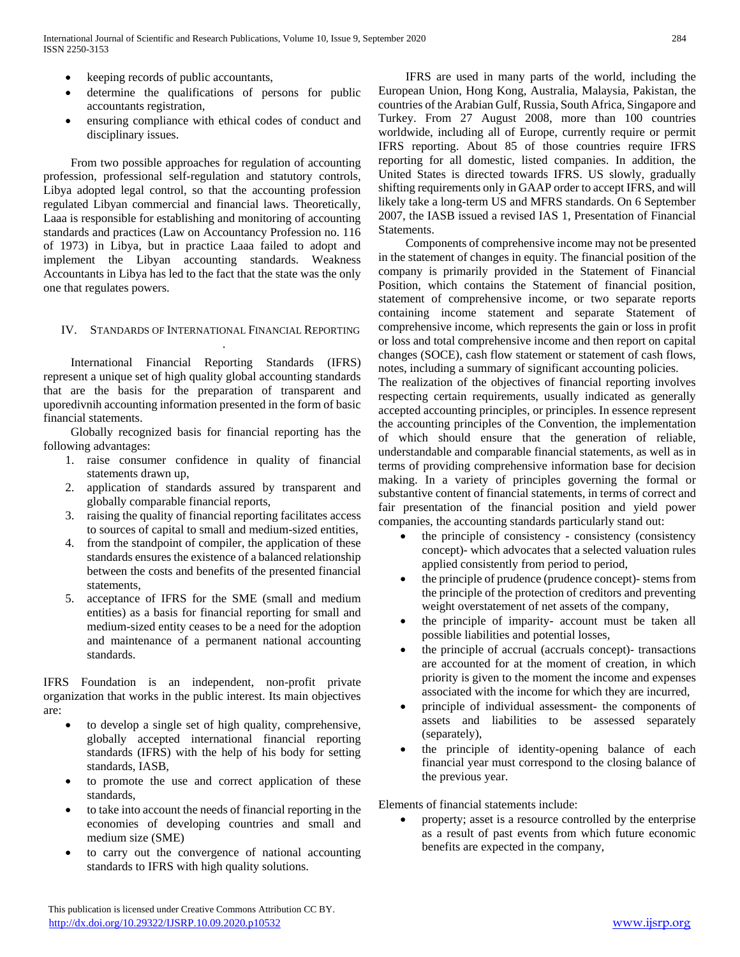- keeping records of public accountants,
- determine the qualifications of persons for public accountants registration,
- ensuring compliance with ethical codes of conduct and disciplinary issues.

 From two possible approaches for regulation of accounting profession, professional self-regulation and statutory controls, Libya adopted legal control, so that the accounting profession regulated Libyan commercial and financial laws. Theoretically, Laaa is responsible for establishing and monitoring of accounting standards and practices (Law on Accountancy Profession no. 116 of 1973) in Libya, but in practice Laaa failed to adopt and implement the Libyan accounting standards. Weakness Accountants in Libya has led to the fact that the state was the only one that regulates powers.

#### IV. STANDARDS OF INTERNATIONAL FINANCIAL REPORTING

.

 International Financial Reporting Standards (IFRS) represent a unique set of high quality global accounting standards that are the basis for the preparation of transparent and uporedivnih accounting information presented in the form of basic financial statements.

 Globally recognized basis for financial reporting has the following advantages:

- 1. raise consumer confidence in quality of financial statements drawn up,
- 2. application of standards assured by transparent and globally comparable financial reports,
- 3. raising the quality of financial reporting facilitates access to sources of capital to small and medium-sized entities,
- 4. from the standpoint of compiler, the application of these standards ensures the existence of a balanced relationship between the costs and benefits of the presented financial statements,
- 5. acceptance of IFRS for the SME (small and medium entities) as a basis for financial reporting for small and medium-sized entity ceases to be a need for the adoption and maintenance of a permanent national accounting standards.

IFRS Foundation is an independent, non-profit private organization that works in the public interest. Its main objectives are:

- to develop a single set of high quality, comprehensive, globally accepted international financial reporting standards (IFRS) with the help of his body for setting standards, IASB,
- to promote the use and correct application of these standards,
- to take into account the needs of financial reporting in the economies of developing countries and small and medium size (SME)
- to carry out the convergence of national accounting standards to IFRS with high quality solutions.

 IFRS are used in many parts of the world, including the European Union, Hong Kong, Australia, Malaysia, Pakistan, the countries of the Arabian Gulf, Russia, South Africa, Singapore and Turkey. From 27 August 2008, more than 100 countries worldwide, including all of Europe, currently require or permit IFRS reporting. About 85 of those countries require IFRS reporting for all domestic, listed companies. In addition, the United States is directed towards IFRS. US slowly, gradually shifting requirements only in GAAP order to accept IFRS, and will likely take a long-term US and MFRS standards. On 6 September 2007, the IASB issued a revised IAS 1, Presentation of Financial Statements.

 Components of comprehensive income may not be presented in the statement of changes in equity. The financial position of the company is primarily provided in the Statement of Financial Position, which contains the Statement of financial position, statement of comprehensive income, or two separate reports containing income statement and separate Statement of comprehensive income, which represents the gain or loss in profit or loss and total comprehensive income and then report on capital changes (SOCE), cash flow statement or statement of cash flows, notes, including a summary of significant accounting policies.

The realization of the objectives of financial reporting involves respecting certain requirements, usually indicated as generally accepted accounting principles, or principles. In essence represent the accounting principles of the Convention, the implementation of which should ensure that the generation of reliable, understandable and comparable financial statements, as well as in terms of providing comprehensive information base for decision making. In a variety of principles governing the formal or substantive content of financial statements, in terms of correct and fair presentation of the financial position and yield power companies, the accounting standards particularly stand out:

- the principle of consistency consistency (consistency concept)- which advocates that a selected valuation rules applied consistently from period to period,
- the principle of prudence (prudence concept)- stems from the principle of the protection of creditors and preventing weight overstatement of net assets of the company,
- the principle of imparity- account must be taken all possible liabilities and potential losses,
- the principle of accrual (accruals concept)- transactions are accounted for at the moment of creation, in which priority is given to the moment the income and expenses associated with the income for which they are incurred,
- principle of individual assessment- the components of assets and liabilities to be assessed separately (separately),
- the principle of identity-opening balance of each financial year must correspond to the closing balance of the previous year.

Elements of financial statements include:

 property; asset is a resource controlled by the enterprise as a result of past events from which future economic benefits are expected in the company,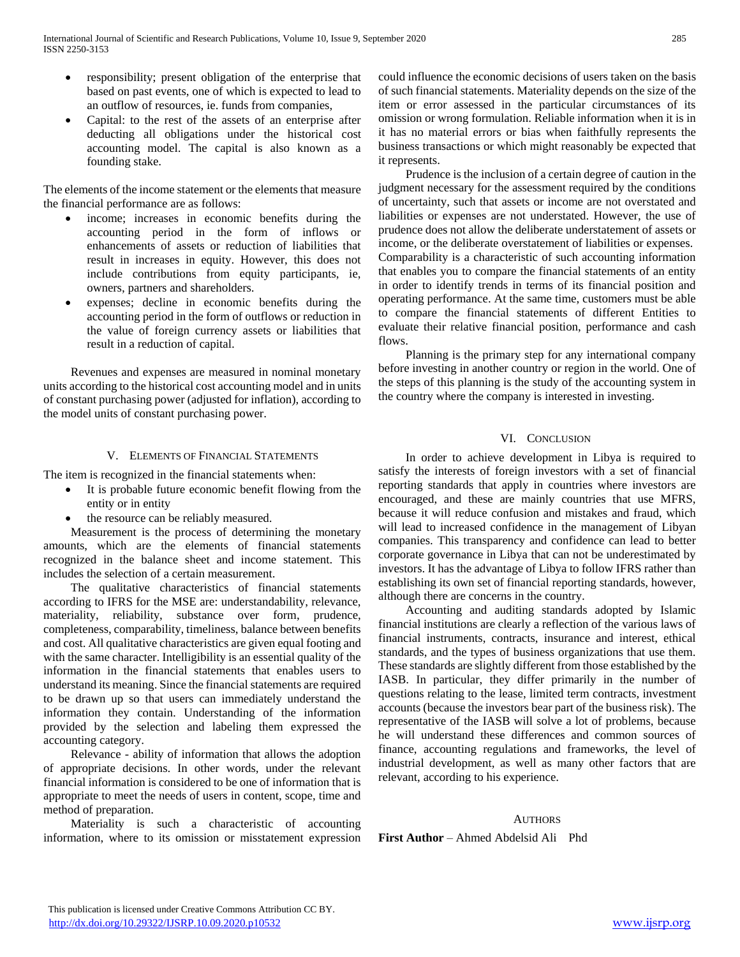- responsibility; present obligation of the enterprise that based on past events, one of which is expected to lead to an outflow of resources, ie. funds from companies,
- Capital: to the rest of the assets of an enterprise after deducting all obligations under the historical cost accounting model. The capital is also known as a founding stake.

The elements of the income statement or the elements that measure the financial performance are as follows:

- income; increases in economic benefits during the accounting period in the form of inflows or enhancements of assets or reduction of liabilities that result in increases in equity. However, this does not include contributions from equity participants, ie, owners, partners and shareholders.
- expenses; decline in economic benefits during the accounting period in the form of outflows or reduction in the value of foreign currency assets or liabilities that result in a reduction of capital.

 Revenues and expenses are measured in nominal monetary units according to the historical cost accounting model and in units of constant purchasing power (adjusted for inflation), according to the model units of constant purchasing power.

# V. ELEMENTS OF FINANCIAL STATEMENTS

The item is recognized in the financial statements when:

- It is probable future economic benefit flowing from the entity or in entity
- the resource can be reliably measured.

 Measurement is the process of determining the monetary amounts, which are the elements of financial statements recognized in the balance sheet and income statement. This includes the selection of a certain measurement.

 The qualitative characteristics of financial statements according to IFRS for the MSE are: understandability, relevance, materiality, reliability, substance over form, prudence, completeness, comparability, timeliness, balance between benefits and cost. All qualitative characteristics are given equal footing and with the same character. Intelligibility is an essential quality of the information in the financial statements that enables users to understand its meaning. Since the financial statements are required to be drawn up so that users can immediately understand the information they contain. Understanding of the information provided by the selection and labeling them expressed the accounting category.

 Relevance - ability of information that allows the adoption of appropriate decisions. In other words, under the relevant financial information is considered to be one of information that is appropriate to meet the needs of users in content, scope, time and method of preparation.

 Materiality is such a characteristic of accounting information, where to its omission or misstatement expression could influence the economic decisions of users taken on the basis of such financial statements. Materiality depends on the size of the item or error assessed in the particular circumstances of its omission or wrong formulation. Reliable information when it is in it has no material errors or bias when faithfully represents the business transactions or which might reasonably be expected that it represents.

 Prudence is the inclusion of a certain degree of caution in the judgment necessary for the assessment required by the conditions of uncertainty, such that assets or income are not overstated and liabilities or expenses are not understated. However, the use of prudence does not allow the deliberate understatement of assets or income, or the deliberate overstatement of liabilities or expenses. Comparability is a characteristic of such accounting information that enables you to compare the financial statements of an entity in order to identify trends in terms of its financial position and operating performance. At the same time, customers must be able to compare the financial statements of different Entities to evaluate their relative financial position, performance and cash flows.

 Planning is the primary step for any international company before investing in another country or region in the world. One of the steps of this planning is the study of the accounting system in the country where the company is interested in investing.

# VI. CONCLUSION

 In order to achieve development in Libya is required to satisfy the interests of foreign investors with a set of financial reporting standards that apply in countries where investors are encouraged, and these are mainly countries that use MFRS, because it will reduce confusion and mistakes and fraud, which will lead to increased confidence in the management of Libyan companies. This transparency and confidence can lead to better corporate governance in Libya that can not be underestimated by investors. It has the advantage of Libya to follow IFRS rather than establishing its own set of financial reporting standards, however, although there are concerns in the country.

 Accounting and auditing standards adopted by Islamic financial institutions are clearly a reflection of the various laws of financial instruments, contracts, insurance and interest, ethical standards, and the types of business organizations that use them. These standards are slightly different from those established by the IASB. In particular, they differ primarily in the number of questions relating to the lease, limited term contracts, investment accounts (because the investors bear part of the business risk). The representative of the IASB will solve a lot of problems, because he will understand these differences and common sources of finance, accounting regulations and frameworks, the level of industrial development, as well as many other factors that are relevant, according to his experience.

## **AUTHORS**

**First Author** – Ahmed Abdelsid Ali Phd